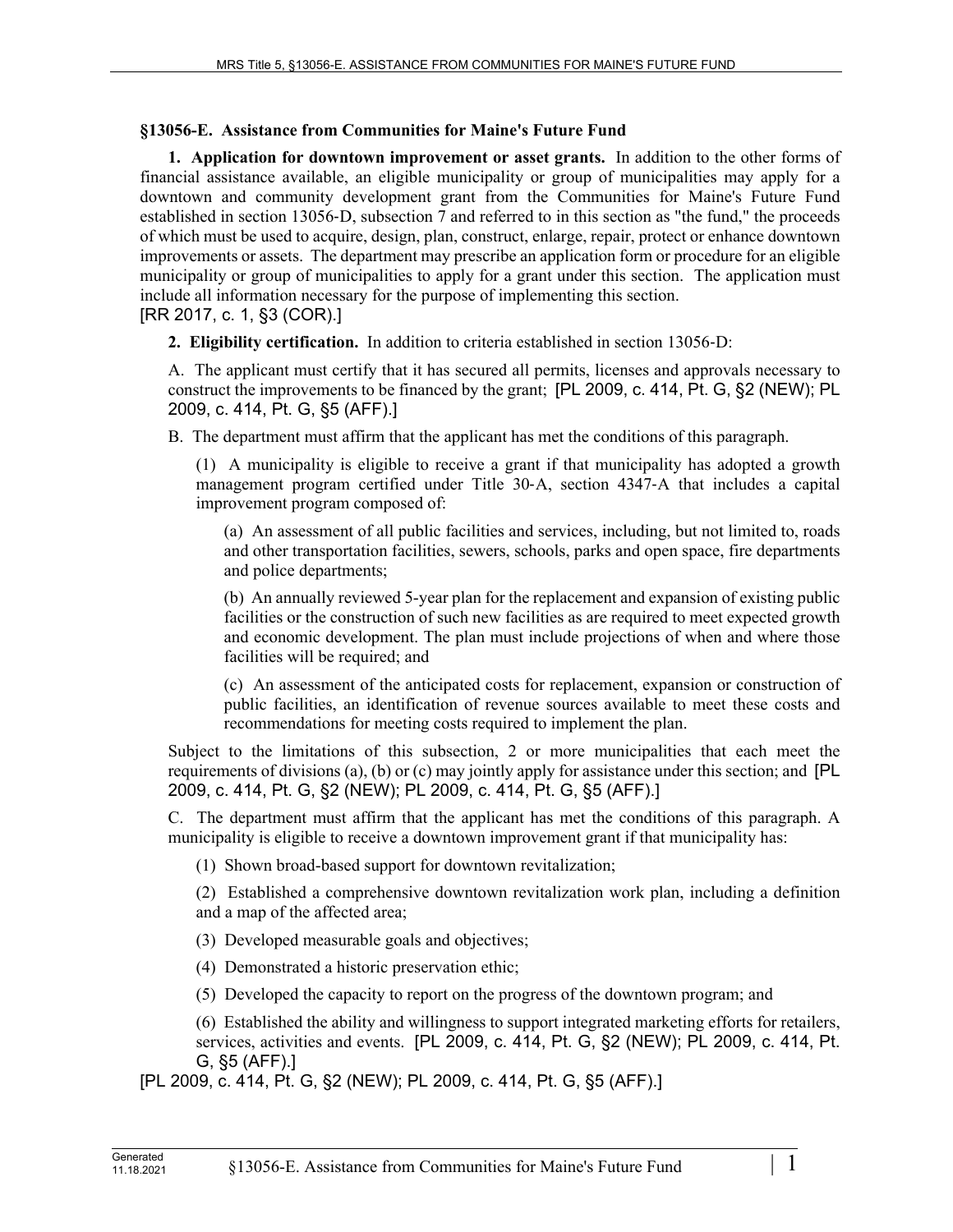## **§13056-E. Assistance from Communities for Maine's Future Fund**

**1. Application for downtown improvement or asset grants.** In addition to the other forms of financial assistance available, an eligible municipality or group of municipalities may apply for a downtown and community development grant from the Communities for Maine's Future Fund established in section 13056‑D, subsection 7 and referred to in this section as "the fund," the proceeds of which must be used to acquire, design, plan, construct, enlarge, repair, protect or enhance downtown improvements or assets. The department may prescribe an application form or procedure for an eligible municipality or group of municipalities to apply for a grant under this section. The application must include all information necessary for the purpose of implementing this section. [RR 2017, c. 1, §3 (COR).]

**2. Eligibility certification.** In addition to criteria established in section 13056‑D:

A. The applicant must certify that it has secured all permits, licenses and approvals necessary to construct the improvements to be financed by the grant; [PL 2009, c. 414, Pt. G, §2 (NEW); PL 2009, c. 414, Pt. G, §5 (AFF).]

B. The department must affirm that the applicant has met the conditions of this paragraph.

(1) A municipality is eligible to receive a grant if that municipality has adopted a growth management program certified under Title 30‑A, section 4347‑A that includes a capital improvement program composed of:

(a) An assessment of all public facilities and services, including, but not limited to, roads and other transportation facilities, sewers, schools, parks and open space, fire departments and police departments;

(b) An annually reviewed 5-year plan for the replacement and expansion of existing public facilities or the construction of such new facilities as are required to meet expected growth and economic development. The plan must include projections of when and where those facilities will be required; and

(c) An assessment of the anticipated costs for replacement, expansion or construction of public facilities, an identification of revenue sources available to meet these costs and recommendations for meeting costs required to implement the plan.

Subject to the limitations of this subsection, 2 or more municipalities that each meet the requirements of divisions (a), (b) or (c) may jointly apply for assistance under this section; and [PL 2009, c. 414, Pt. G, §2 (NEW); PL 2009, c. 414, Pt. G, §5 (AFF).]

C. The department must affirm that the applicant has met the conditions of this paragraph. A municipality is eligible to receive a downtown improvement grant if that municipality has:

(1) Shown broad-based support for downtown revitalization;

(2) Established a comprehensive downtown revitalization work plan, including a definition and a map of the affected area;

(3) Developed measurable goals and objectives;

(4) Demonstrated a historic preservation ethic;

(5) Developed the capacity to report on the progress of the downtown program; and

(6) Established the ability and willingness to support integrated marketing efforts for retailers, services, activities and events. [PL 2009, c. 414, Pt. G, §2 (NEW); PL 2009, c. 414, Pt. G, §5 (AFF).]

[PL 2009, c. 414, Pt. G, §2 (NEW); PL 2009, c. 414, Pt. G, §5 (AFF).]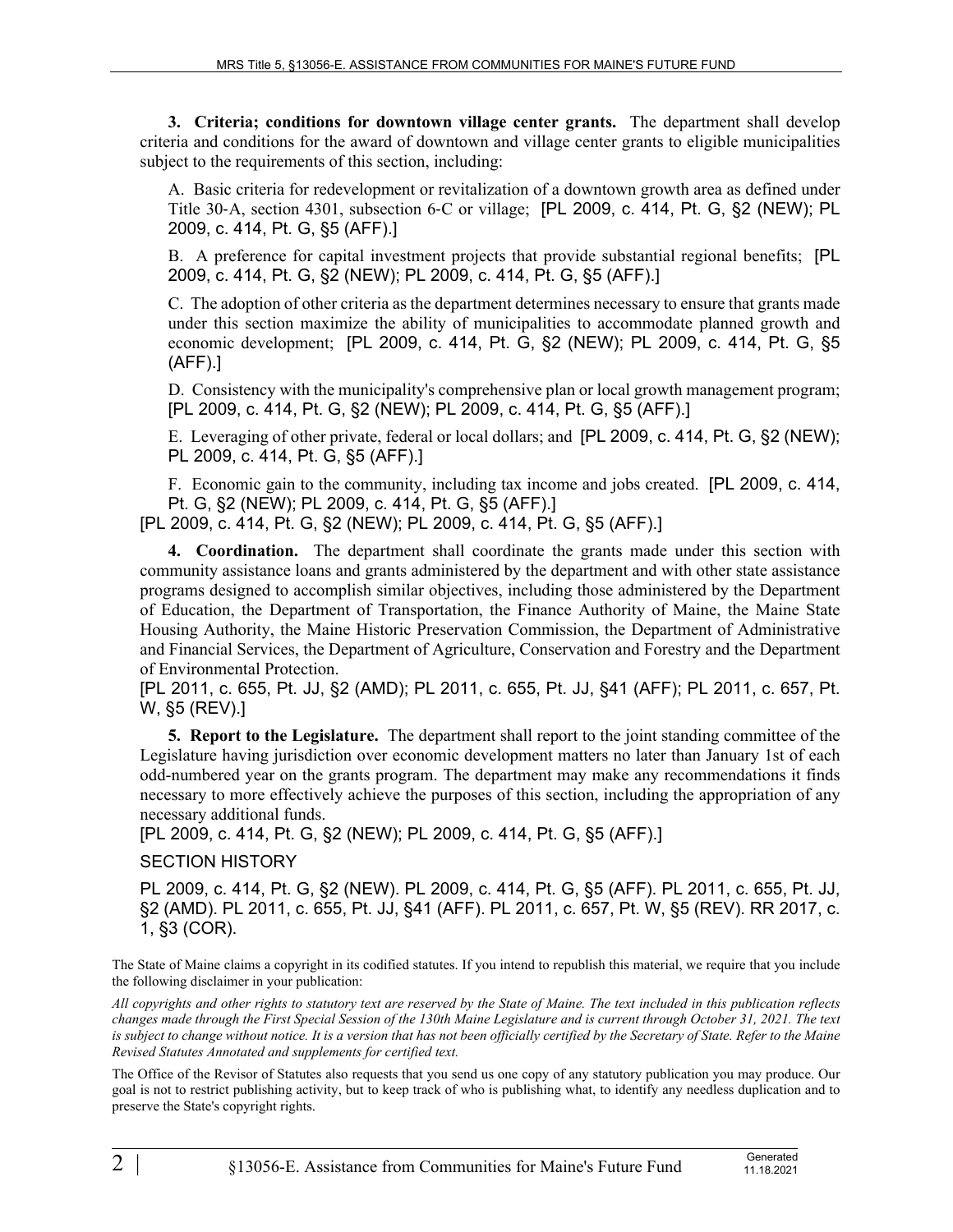**3. Criteria; conditions for downtown village center grants.** The department shall develop criteria and conditions for the award of downtown and village center grants to eligible municipalities subject to the requirements of this section, including:

A. Basic criteria for redevelopment or revitalization of a downtown growth area as defined under Title 30‑A, section 4301, subsection 6‑C or village; [PL 2009, c. 414, Pt. G, §2 (NEW); PL 2009, c. 414, Pt. G, §5 (AFF).]

B. A preference for capital investment projects that provide substantial regional benefits; [PL 2009, c. 414, Pt. G, §2 (NEW); PL 2009, c. 414, Pt. G, §5 (AFF).]

C. The adoption of other criteria as the department determines necessary to ensure that grants made under this section maximize the ability of municipalities to accommodate planned growth and economic development; [PL 2009, c. 414, Pt. G, §2 (NEW); PL 2009, c. 414, Pt. G, §5 (AFF).]

D. Consistency with the municipality's comprehensive plan or local growth management program; [PL 2009, c. 414, Pt. G, §2 (NEW); PL 2009, c. 414, Pt. G, §5 (AFF).]

E. Leveraging of other private, federal or local dollars; and [PL 2009, c. 414, Pt. G, §2 (NEW); PL 2009, c. 414, Pt. G, §5 (AFF).]

F. Economic gain to the community, including tax income and jobs created. [PL 2009, c. 414, Pt. G, §2 (NEW); PL 2009, c. 414, Pt. G, §5 (AFF).]

[PL 2009, c. 414, Pt. G, §2 (NEW); PL 2009, c. 414, Pt. G, §5 (AFF).]

**4. Coordination.** The department shall coordinate the grants made under this section with community assistance loans and grants administered by the department and with other state assistance programs designed to accomplish similar objectives, including those administered by the Department of Education, the Department of Transportation, the Finance Authority of Maine, the Maine State Housing Authority, the Maine Historic Preservation Commission, the Department of Administrative and Financial Services, the Department of Agriculture, Conservation and Forestry and the Department of Environmental Protection.

[PL 2011, c. 655, Pt. JJ, §2 (AMD); PL 2011, c. 655, Pt. JJ, §41 (AFF); PL 2011, c. 657, Pt. W, §5 (REV).]

**5. Report to the Legislature.** The department shall report to the joint standing committee of the Legislature having jurisdiction over economic development matters no later than January 1st of each odd-numbered year on the grants program. The department may make any recommendations it finds necessary to more effectively achieve the purposes of this section, including the appropriation of any necessary additional funds.

[PL 2009, c. 414, Pt. G, §2 (NEW); PL 2009, c. 414, Pt. G, §5 (AFF).]

## SECTION HISTORY

PL 2009, c. 414, Pt. G, §2 (NEW). PL 2009, c. 414, Pt. G, §5 (AFF). PL 2011, c. 655, Pt. JJ, §2 (AMD). PL 2011, c. 655, Pt. JJ, §41 (AFF). PL 2011, c. 657, Pt. W, §5 (REV). RR 2017, c. 1, §3 (COR).

The State of Maine claims a copyright in its codified statutes. If you intend to republish this material, we require that you include the following disclaimer in your publication:

*All copyrights and other rights to statutory text are reserved by the State of Maine. The text included in this publication reflects changes made through the First Special Session of the 130th Maine Legislature and is current through October 31, 2021. The text*  is subject to change without notice. It is a version that has not been officially certified by the Secretary of State. Refer to the Maine *Revised Statutes Annotated and supplements for certified text.*

The Office of the Revisor of Statutes also requests that you send us one copy of any statutory publication you may produce. Our goal is not to restrict publishing activity, but to keep track of who is publishing what, to identify any needless duplication and to preserve the State's copyright rights.